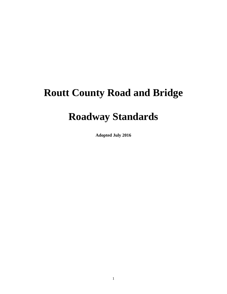# **Routt County Road and Bridge**

# **Roadway Standards**

**Adopted July 2016**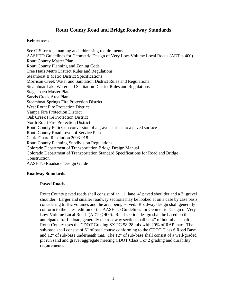# **Routt County Road and Bridge Roadway Standards**

#### **References:**

See GIS for road naming and addressing requirements AASHTO Guidelines for Geometric Design of Very Low-Volume Local Roads (ADT < 400) Routt County Master Plan Routt County Planning and Zoning Code Tree Haus Metro District Rules and Regulations Steamboat II Metro District Specifications Morrison Creek Water and Sanitation District Rules and Regulations Steamboat Lake Water and Sanitation District Rules and Regulations Stagecoach Master Plan Sarvis Creek Area Plan Steamboat Springs Fire Protection District West Routt Fire Protection District Yampa Fire Protection District Oak Creek Fire Protection District North Routt Fire Protection District Routt County Policy on conversion of a gravel surface to a paved surface Routt County Road Level of Service Plan Cattle Guard Resolution 2003-018 Routt County Planning Subdivision Regulations Colorado Department of Transportation Bridge Design Manual Colorado Department of Transportation Standard Specifications for Road and Bridge Construction AASHTO Roadside Design Guide

#### **Roadway Standards**

#### **Paved Roads**

Routt County paved roads shall consist of an 11' lane, 4' paved shoulder and a 3' gravel shoulder. Larger and smaller roadway sections may be looked at on a case by case basis considering traffic volumes and the area being served. Roadway design shall generally conform to the latest edition of the AASHTO Guidelines for Geometric Design of Very Low-Volume Local Roads (ADT < 400). Road section design shall be based on the anticipated traffic load, generally the roadway section shall be 4" of hot mix asphalt. Routt County uses the CDOT Grading SX PG 58-28 mix with 20% of RAP max. The sub-base shall consist of 6" of base course conforming to the CDOT Class 6 Road Base and 12" of sub-base underneath that. The 12" of sub-base shall consist of a well-graded pit run sand and gravel aggregate meeting CDOT Class 1 or 2 grading and durability requirements.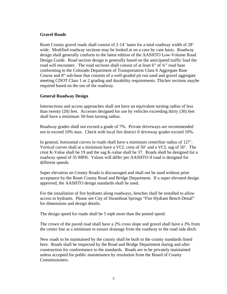#### **Gravel Roads**

Routt County gravel roads shall consist of 2-14' lanes for a total roadway width of 28' wide. Modified roadway sections may be looked at on a case by case basis. Roadway design shall generally conform to the latest edition of the AASHTO Low-Volume Road Design Guide. Road section design is generally based on the anticipated traffic load the road will encounter. The road sections shall consist of at least 6" of 3/4" road base conforming to the Colorado Department of Transportation Class 6 Aggregate Base Course and 8" sub-base that consists of a well-graded pit run sand and gravel aggregate meeting CDOT Class 1 or 2 grading and durability requirements. Thicker sections maybe required based on the use of the roadway.

#### **General Roadway Design**

Intersections and access approaches shall not have an equivalent turning radius of less than twenty (20) feet. Accesses designed for use by vehicles exceeding thirty (30) feet shall have a minimum 50-foot turning radius.

Roadway grades shall not exceed a grade of 7%. Private driveways are recommended not to exceed 10% max. Check with local fire district if driveway grades exceed 10%.

In general, horizontal curves in roads shall have a minimum centerline radius of 127'. Vertical curves shall at a minimum have a VCL crest of 50' and a VCL sag of 50'. The crest K-Value shall be 19 and the sag K-value shall be 37. Roads shall be designed for a roadway speed of 35 MPH. Values will differ per AASHTO if road is designed for different speeds.

Super elevation on County Roads is discouraged and shall not be used without prior acceptance by the Routt County Road and Bridge Department. If a super elevated design approved, the AASHTO design standards shall be used.

For the installation of fire hydrants along roadways, benches shall be installed to allow access to hydrants. Please see City of Steamboat Springs "Fire Hydrant Bench Detail" for dimensions and design details.

The design speed for roads shall be 5 mph more than the posted speed.

The crown of the paved road shall have a 2% cross slope and gravel shall have a 3% from the center line at a minimum to ensure drainage from the roadway to the road side ditch.

New roads to be maintained by the county shall be built to the county standards listed here. Roads shall be inspected by the Road and Bridge Department during and after construction for conformance to the standards. Roads are to be privately maintained unless accepted for public maintenance by resolution from the Board of County Commissioners.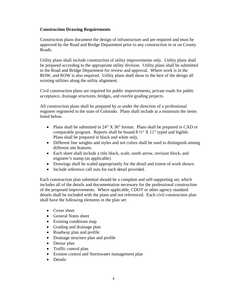# **Construction Drawing Requirements**

Construction plans document the design of infrastructure and are required and must be approved by the Road and Bridge Department prior to any construction in or on County Roads.

Utility plans shall include construction of utility improvements only. Utility plans shall be prepared according to the appropriate utility division. Utility plans shall be submitted to the Road and Bridge Department for review and approval. Where work is in the ROW, and ROW is also required. Utility plans shall show to the best of the design all existing utilities along the utility alignment.

Civil construction plans are required for public improvements, private roads for public acceptance, drainage structures, bridges, and overlot grading projects.

All construction plans shall be prepared by or under the direction of a professional engineer registered in the state of Colorado. Plans shall include at a minimum the items listed below.

- Plans shall be submitted in 24" X 36" format. Plans shall be prepared in CAD or comparable program. Reports shall be bound 8 ½" X 11" typed and legible. Plans shall be prepared in black and white only.
- Different line weights and styles and not colors shall be used to distinguish among different site features.
- Each sheet shall include a title block, scale, north arrow, revision block, and engineer's stamp (as applicable)
- Drawings shall be scaled appropriately for the detail and extent of work shown.
- Include reference call outs for each detail provided.

Each construction plan submittal should be a complete and self-supporting set, which includes all of the details and documentation necessary for the professional construction of the proposed improvements. Where applicable, CDOT or other agency standard details shall be included with the plans and not referenced. Each civil construction plan shall have the following elements in the plan set:

- Cover sheet
- General Notes sheet
- Existing conditions map
- Grading and drainage plan
- Roadway plan and profile
- Drainage structure plan and profile
- Detour plan
- Traffic control plan
- Erosion control and Stormwater management plan
- Details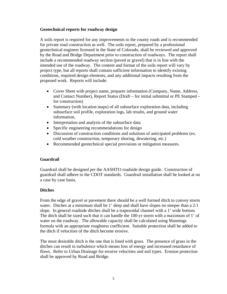## **Geotechnical reports for roadway design**

A soils report is required for any improvements to the county roads and is recommended for private road construction as well. The soils report, prepared by a professional geotechnical engineer licensed in the State of Colorado, shall be reviewed and approved by the Road and Bridge Department prior to construction of roadways. The report shall include a recommended roadway section (paved or gravel) that is in line with the intended use of the roadway. The content and format of the soils report will vary by project type, but all reports shall contain sufficient information to identify existing conditions, required design elements, and any additional impacts resulting from the proposed work. Reports will include:

- Cover Sheet with project name, preparer information (Company, Name, Address, and Contact Number), Report Status (Draft – for initial submittal or PE Stamped – for construction)
- Summary (with location maps) of all subsurface exploration data, including subsurface soil profile, exploration logs, lab results, and ground water information.
- Interpretation and analysis of the subsurface data
- Specific engineering recommendations for design
- Discussion of construction conditions and solutions of anticipated problems (ex. cold weather construction, temporary shoring, dewatering, etc.)
- Recommended geotechnical special provisions or mitigation measures.

# **Guardrail**

Guardrail shall be designed per the AASHTO roadside design guide. Construction of guardrail shall adhere to the CDOT standards. Guardrail installation shall be looked at on a case by case basis.

# **Ditches**

From the edge of gravel or pavement there should be a well formed ditch to convey storm water. Ditches at a minimum shall be 1' deep and shall have slopes no steeper than a 2:1 slope. In general roadside ditches shall be a trapezoidal channel with a 1' wide bottom. The ditch shall be sized such that it can handle the 100-yr storm with a maximum of 1' of water on the roadway. The allowable capacity shall be calculated using Mannings formula with an appropriate roughness coefficient. Suitable protection shall be added to the ditch if velocities of the ditch become erosive.

The most desirable ditch is the one that is lined with grass. The presence of grass in the ditches can result in turbulence which means loss of energy and increased retardance of flows. Refer to Urban Drainage for erosive velocities and soil types. Erosion protection shall be approved by Road and Bridge.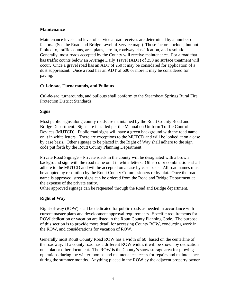## **Maintenance**

Maintenance levels and level of service a road receives are determined by a number of factors. (See the Road and Bridge Level of Service map.) Those factors include, but not limited to, traffic counts, area plans, terrain, roadway classification, and resolutions. Generally, most roads accepted by the County will receive maintenance. For a road that has traffic counts below an Average Daily Travel (ADT) of 250 no surface treatment will occur. Once a gravel road has an ADT of 250 it may be considered for application of a dust suppressant. Once a road has an ADT of 600 or more it may be considered for paving.

# **Cul-de-sac, Turnarounds, and Pullouts**

Cul-de-sac, turnarounds, and pullouts shall conform to the Steamboat Springs Rural Fire Protection District Standards.

# **Signs**

Most public signs along county roads are maintained by the Routt County Road and Bridge Department. Signs are installed per the Manual on Uniform Traffic Control Devices (MUTCD). Public road signs will have a green background with the road name on it in white letters. There are exceptions to the MUTCD and will be looked at on a case by case basis. Other signage to be placed in the Right of Way shall adhere to the sign code put forth by the Routt County Planning Department.

Private Road Signage – Private roads in the county will be designated with a brown background sign with the road name on it in white letters. Other color combinations shall adhere to the MUTCD and will be accepted on a case by case basis. All road names must be adopted by resolution by the Routt County Commissioners or by plat. Once the road name is approved, street signs can be ordered from the Road and Bridge Department at the expense of the private entity.

Other approved signage can be requested through the Road and Bridge department.

# **Right of Way**

Right-of-way (ROW) shall be dedicated for public roads as needed in accordance with current master plans and development approval requirements. Specific requirements for ROW dedication or vacation are listed in the Routt County Planning Code. The purpose of this section is to provide more detail for accessing County ROW, conducting work in the ROW, and considerations for vacation of ROW.

Generally most Routt County Road ROW has a width of 60' based on the centerline of the roadway. If a county road has a different ROW width, it will be shown by dedication on a plat or other document. The ROW is the County's snow storage area for plowing operations during the winter months and maintenance access for repairs and maintenance during the summer months. Anything placed in the ROW by the adjacent property owner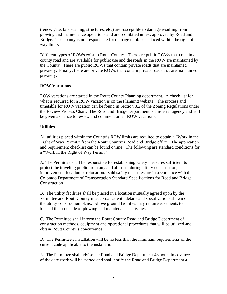(fence, gate, landscaping, structures, etc.) are susceptible to damage resulting from plowing and maintenance operations and are prohibited unless approved by Road and Bridge. The county is not responsible for damage to objects placed within the right of way limits.

Different types of ROWs exist in Routt County **-** There are public ROWs that contain a county road and are available for public use and the roads in the ROW are maintained by the County. There are public ROWs that contain private roads that are maintained privately. Finally, there are private ROWs that contain private roads that are maintained privately.

# **ROW Vacations**

ROW vacations are started in the Routt County Planning department. A check list for what is required for a ROW vacation is on the Planning website. The process and timetable for ROW vacation can be found in Section 3.2 of the Zoning Regulations under the Review Process Chart. The Road and Bridge Department is a referral agency and will be given a chance to review and comment on all ROW vacations.

# **Utilities**

All utilities placed within the County's ROW limits are required to obtain a "Work in the Right of Way Permit," from the Routt County's Road and Bridge office. The application and requirement checklist can be found online. The following are standard conditions for a "Work in the Right of Way Permit."

A. The Permittee shall be responsible for establishing safety measures sufficient to protect the traveling public from any and all harm during utility construction, improvement, location or relocation. Said safety measures are in accordance with the Colorado Department of Transportation Standard Specifications for Road and Bridge Construction

B**.** The utility facilities shall be placed in a location mutually agreed upon by the Permittee and Routt County in accordance with details and specifications shown on the utility construction plans. Above ground facilities may require easements to located them outside of plowing and maintenance activities.

C**.** The Permittee shall inform the Routt County Road and Bridge Department of construction methods, equipment and operational procedures that will be utilized and obtain Routt County's concurrence.

D. The Permittee's installation will be no less than the minimum requirements of the current code applicable to the installation.

E**.** The Permittee shall advise the Road and Bridge Department 48 hours in advance of the date work will be started and shall notify the Road and Bridge Department a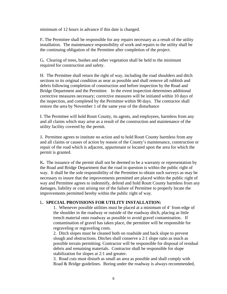minimum of 12 hours in advance if this date is changed.

F**.** The Permittee shall be responsible for any repairs necessary as a result of the utility installation. The maintenance responsibility of work and repairs to the utility shall be the continuing obligation of the Permittee after completion of the project.

G**.** Clearing of trees, bushes and other vegetation shall be held to the minimum required for construction and safety.

H. The Permittee shall return the right of way, including the road shoulders and ditch sections to its original condition as near as possible and shall remove all rubbish and debris following completion of construction and before inspection by the Road and Bridge Department and the Permittee. In the event inspection determines additional corrective measures necessary; corrective measures will be initiated within 10 days of the inspection, and completed by the Permittee within 90 days. The contractor shall restore the area by November 1 of the same year of the disturbance

I. The Permittee will hold Routt County, its agents, and employees, harmless from any and all claims which may arise as a result of the construction and maintenance of the utility facility covered by the permit.

J**.** Permittee agrees to institute no action and to hold Routt County harmless from any and all claims or causes of action by reason of the County's maintenance, construction or repair of the road which is adjacent, appurtenant or located upon the area for which the permit is granted.

K**.** The issuance of the permit shall not be deemed to be a warranty or representation by the Road and Bridge Department that the road in question is within the public right of way. It shall be the sole responsibility of the Permittee to obtain such surveys as may be necessary to insure that the improvements permitted are placed within the public right of way and Permittee agrees to indemnify, defend and hold Routt County harmless from any damages, liability or cost arising out of the failure of Permittee to properly locate the improvements permitted hereby within the public right of way.

# L. **SPECIAL PROVISIONS FOR UTILITY INSTALLATION:**

1.Whenever possible utilities must be placed at a minimum of 4' from edge of the shoulder in the roadway or outside of the roadway ditch, placing as little trench material onto roadway as possible to avoid gravel contamination. If contamination of gravel has taken place, the permittee will be responsible for regraveling or regraveling costs.

2. Ditch slopes must be cleaned both on roadside and back slope to prevent slough and obstructions. Ditches shall conserve a 2:1 slope ratio as much as possible terrain permitting. Contractor will be responsible for disposal of residual debris and remaining materials. Contractor shall be responsible for slope stabilization for slopes at 2:1 and greater.

3. Road cuts must disturb as small an area as possible and shall comply with Road & Bridge guidelines. Boring under the roadway is always recommended,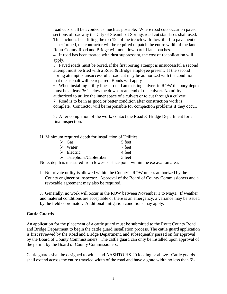road cuts shall be avoided as much as possible. Where road cuts occur on paved sections of roadway the City of Steamboat Springs road cut standards shall used. This includes backfilling the top 12" of the trench with flowfill. If a pavement cut is performed, the contractor will be required to patch the entire width of the lane. Routt County Road and Bridge will not allow partial lane patches.

4. If road has been treated with dust suppressant, the cost of reapplication will apply.

5. Paved roads must be bored, if the first boring attempt is unsuccessful a second attempt must be tried with a Road & Bridge employee present. If the second boring attempt is unsuccessful a road cut may be authorized with the condition that the asphalt will be repaired. Bonds will apply

6. When installing utility lines around an existing culvert in ROW the bury depth must be at least 36" below the downstream end of the culvert. No utility is authorized to utilize the inner space of a culvert or to cut through a culvert.

7. Road is to be in as good or better condition after construction work is complete. Contractor will be responsible for compaction problems if they occur.

8**.** After completion of the work, contact the Road & Bridge Department for a final inspection.

H**.** Minimum required depth for installation of Utilities.

| $\triangleright$ Gas                   | 5 feet |
|----------------------------------------|--------|
| $\triangleright$ Water                 | 7 feet |
| $\triangleright$ Electric              | 4 feet |
| $\triangleright$ Telephone/Cable/fiber | 3 feet |

Note: depth is measured from lowest surface point within the excavation area.

I. No private utility is allowed within the County's ROW unless authorized by the County engineer or inspector. Approval of the Board of County Commissioners and a revocable agreement may also be required.

J. Generally, no work will occur in the ROW between November 1 to May1. If weather and material conditions are acceptable or there is an emergency, a variance may be issued by the field coordinator. Additional mitigation conditions may apply.

#### **Cattle Guards**

An application for the placement of a cattle guard must be submitted to the Routt County Road and Bridge Department to begin the cattle guard installation process. The cattle guard application is first reviewed by the Road and Bridge Department, and subsequently passed on for approval by the Board of County Commissioners. The cattle guard can only be installed upon approval of the permit by the Board of County Commissioners.

Cattle guards shall be designed to withstand AASHTO HS-20 loading or above. Cattle guards shall extend across the entire traveled width of the road and have a grate width no less than 6'-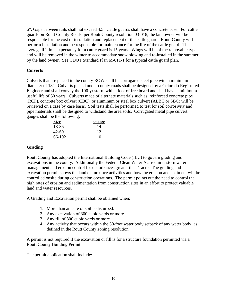6". Gaps between rails shall not exceed 4.5" Cattle guards shall have a concrete base. For cattle guards on Routt County Roads, per Routt County resolution 03-018, the landowner will be responsible for the cost of installation and replacement of the cattle guard. Routt County will perform installation and be responsible for maintenance for the life of the cattle guard. The average lifetime expectancy for a cattle guard is 15 years. Wings will be of the removable type and will be removed in the winter to accommodate snow plowing and re-installed in the summer by the land owner. See CDOT Standard Plan M-611-1 for a typical cattle guard plan.

# **Culverts**

Culverts that are placed in the county ROW shall be corrugated steel pipe with a minimum diameter of 18". Culverts placed under county roads shall be designed by a Colorado Registered Engineer and shall convey the 100-yr storm with a foot of free board and shall have a minimum useful life of 50 years. Culverts made of alternate materials such as, reinforced concrete pipe (RCP), concrete box culvert (CBC), or aluminum or steel box culvert (ALBC or SBC) will be reviewed on a case by case basis. Soil tests shall be performed to test for soil corrosivity and pipe materials shall be designed to withstand the area soils. Corrugated metal pipe culvert gauges shall be the following:

| Size      | Guage |
|-----------|-------|
| 18-36     | 14    |
| $42 - 60$ | 12    |
| 66-102    | 10    |

# **Grading**

Routt County has adopted the International Building Code (IBC) to govern grading and excavations in the county. Additionally the Federal Clean Water Act requires stormwater management and erosion control for disturbances greater than 1 acre. The grading and excavation permit shows the land disturbance activities and how the erosion and sediment will be controlled onsite during construction operations. The permit points out the need to control the high rates of erosion and sedimentation from construction sites in an effort to protect valuable land and water resources.

A Grading and Excavation permit shall be obtained when:

- 1. More than an acre of soil is disturbed.
- 2. Any excavation of 300 cubic yards or more
- 3. Any fill of 300 cubic yards or more
- 4. Any activity that occurs within the 50-foot water body setback of any water body, as defined in the Routt County zoning resolution.

A permit is not required if the excavation or fill is for a structure foundation permitted via a Routt County Building Permit.

The permit application shall include: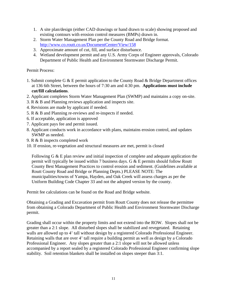- 1. A site plan/design (either CAD drawings or hand drawn to scale) showing proposed and existing contours with erosion control measures (BMPs) drawn in.
- 2. Storm Water Management Plan per the County Road and Bridge format. http://www.co.routt.co.us/DocumentCenter/View/158
- 3. Approximate amount of cut, fill, and surface disturbance.
- 4. Wetland development permit and any U.S. Army Corps of Engineer approvals, Colorado Department of Public Health and Environment Stormwater Discharge Permit.

Permit Process:

- 1. Submit complete G & E permit application to the County Road & Bridge Department offices at 136 6th Street, between the hours of 7:30 am and 4:30 pm. **Applications must include cut/fill calculations**.
- 2. Applicant completes Storm Water Management Plan (SWMP) and maintains a copy on-site.
- 3. R & B and Planning reviews application and inspects site.
- 4. Revisions are made by applicant if needed.
- 5. R & B and Planning re-reviews and re-inspects if needed.
- 6. If acceptable, application is approved
- 7. Applicant pays fee and permit issued.
- 8. Applicant conducts work in accordance with plans, maintains erosion control, and updates SWMP as needed.
- 9. R & B inspects completed work
- 10. If erosion, re-vegetation and structural measures are met, permit is closed

Following G & E plan review and initial inspection of complete and adequate application the permit will typically be issued within 7 business days. G & E permits should follow Routt County Best Management Practices to control erosion and sediment. (Guidelines available at Routt County Road and Bridge or Planning Depts.) PLEASE NOTE: The municipalities/towns of Yampa, Hayden, and Oak Creek will assess charges as per the Uniform Building Code Chapter 33 and not the adopted version by the county.

Permit fee calculations can be found on the Road and Bridge website.

Obtaining a Grading and Excavation permit from Routt County does not release the permittee from obtaining a Colorado Department of Public Health and Environment Stormwater Discharge permit.

Grading shall occur within the property limits and not extend into the ROW. Slopes shall not be greater than a 2:1 slope. All disturbed slopes shall be stabilized and revegetated. Retaining walls are allowed up to 4' tall without design by a registered Colorado Professional Engineer. Retaining walls that are over 4' tall require a building permit as well as design by a Colorado Professional Engineer. Any slopes greater than a 2:1 slope will not be allowed unless accompanied by a report sealed by a registered Colorado Professional Engineer confirming slope stability. Soil retention blankets shall be installed on slopes steeper than 3:1.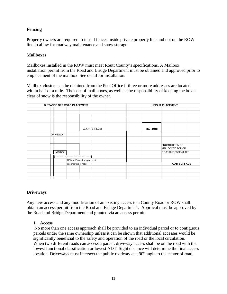# **Fencing**

Property owners are required to install fences inside private property line and not on the ROW line to allow for roadway maintenance and snow storage.

# **Mailboxes**

Mailboxes installed in the ROW must meet Routt County's specifications. A Mailbox installation permit from the Road and Bridge Department must be obtained and approved prior to emplacement of the mailbox. See detail for installation.

Mailbox clusters can be obtained from the Post Office if three or more addresses are located within half of a mile. The cost of mail boxes, as well as the responsibility of keeping the boxes clear of snow is the responsibility of the owner.

|                 | DISTANCE OFF ROAD PLACEMENT    | <b>HEIGHT PLACEMENT</b> |                     |  |  |  |
|-----------------|--------------------------------|-------------------------|---------------------|--|--|--|
|                 |                                |                         |                     |  |  |  |
|                 |                                |                         |                     |  |  |  |
|                 |                                |                         |                     |  |  |  |
|                 |                                |                         |                     |  |  |  |
|                 |                                |                         |                     |  |  |  |
|                 | COUNTY ROAD                    | <b>MAILBOX</b>          |                     |  |  |  |
| <b>DRIVEWAY</b> |                                |                         |                     |  |  |  |
|                 |                                |                         |                     |  |  |  |
|                 |                                |                         | FROM BOTTOM OF      |  |  |  |
|                 |                                |                         | MAIL BOX TO TOP OF  |  |  |  |
| Mailbox         |                                |                         | ROAD SURFACE AT 42" |  |  |  |
|                 |                                |                         |                     |  |  |  |
|                 | 22' from Front of support post |                         |                     |  |  |  |
|                 | to centerline of road          |                         | <b>ROAD SURFACE</b> |  |  |  |
|                 |                                |                         |                     |  |  |  |
|                 |                                |                         |                     |  |  |  |
|                 |                                |                         |                     |  |  |  |
|                 |                                |                         |                     |  |  |  |

# **Driveways**

Any new access and any modification of an existing access to a County Road or ROW shall obtain an access permit from the Road and Bridge Department. Approval must be approved by the Road and Bridge Department and granted via an access permit.

#### 1. **Access**

 No more than one access approach shall be provided to an individual parcel or to contiguous parcels under the same ownership unless it can be shown that additional accesses would be significantly beneficial to the safety and operation of the road or the local circulation. When two different roads can access a parcel, driveway access shall be on the road with the lowest functional classification or lowest ADT. Sight distance will determine the final access location. Driveways must intersect the public roadway at a 90<sup>°</sup> angle to the center of road.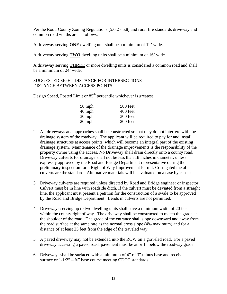Per the Routt County Zoning Regulations (5.6.2 - 5.8) and rural fire standards driveway and common road widths are as follows:

A driveway serving **ONE** dwelling unit shall be a minimum of 12' wide.

A driveway serving **TWO** dwelling units shall be a minimum of 16' wide.

A driveway serving **THREE** or more dwelling units is considered a common road and shall be a minimum of 24' wide.

# SUGGESTED SIGHT DISTANCE FOR INTERSECTIONS DISTANCE BETWEEN ACCESS POINTS

Design Speed, Posted Limit or  $85<sup>th</sup>$  percentile whichever is greatest

| $50$ mph | 500 feet |
|----------|----------|
| $40$ mph | 400 feet |
| $30$ mph | 300 feet |
| $20$ mph | 200 feet |

- 2. All driveways and approaches shall be constructed so that they do not interfere with the drainage system of the roadway. The applicant will be required to pay for and install drainage structures at access points, which will become an integral part of the existing drainage system. Maintenance of the drainage improvements is the responsibility of the property owner using the access. No Driveway shall drain directly onto a county road. Driveway culverts for drainage shall not be less than 18 inches in diameter, unless expressly approved by the Road and Bridge Department representative during the preliminary inspection for a Right of Way Improvement Permit. Corrugated metal culverts are the standard. Alternative materials will be evaluated on a case by case basis.
- 3. Driveway culverts are required unless directed by Road and Bridge engineer or inspector. Culvert must be in line with roadside ditch. If the culvert must be deviated from a straight line, the applicant must present a petition for the construction of a swale to be approved by the Road and Bridge Department. Bends in culverts are not permitted.
- 4. Driveways serving up to two dwelling units shall have a minimum width of 20 feet within the county right of way. The driveway shall be constructed to match the grade at the shoulder of the road. The grade of the entrance shall slope downward and away from the road surface at the same rate as the normal cross slope (4% maximum) and for a distance of at least 25 feet from the edge of the traveled way.
- 5. A paved driveway may not be extended into the ROW on a graveled road. For a paved driveway accessing a paved road, pavement must be at or 1" below the roadway grade.
- 6. Driveways shall be surfaced with a minimum of 4" of 3" minus base and receive a surface or  $1-1/2$ " – 3/4" base course meeting CDOT standards.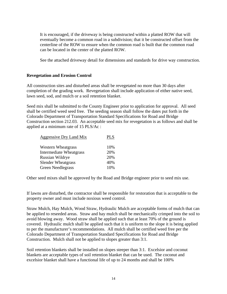It is encouraged, if the driveway is being constructed within a platted ROW that will eventually become a common road in a subdivision; that it be constructed offset from the centerline of the ROW to ensure when the common road is built that the common road can be located in the center of the platted ROW.

See the attached driveway detail for dimensions and standards for drive way construction.

### **Revegetation and Erosion Control**

All construction sites and disturbed areas shall be revegetated no more than 30 days after completion of the grading work. Revegetation shall include application of either native seed, lawn seed, sod, and mulch or a soil retention blanket.

Seed mix shall be submitted to the County Engineer prior to application for approval. All seed shall be certified weed seed free. The seeding season shall follow the dates put forth in the Colorado Department of Transportation Standard Specifications for Road and Bridge Construction section 212.03. An acceptable seed mix for revegetation is as follows and shall be applied at a minimum rate of 15 PLS/Ac :

| Aggressive Dry Land Mix        | PLS |
|--------------------------------|-----|
| <b>Western Wheatgrass</b>      | 10% |
| <b>Intermediate Wheatgrass</b> | 20% |
| Russian Wildrye                | 20% |
| <b>Slender Wheatgrass</b>      | 40% |
| <b>Green Needlegrass</b>       | 10% |

Other seed mixes shall be approved by the Road and Bridge engineer prior to seed mix use.

If lawns are disturbed, the contractor shall be responsible for restoration that is acceptable to the property owner and must include noxious weed control.

Straw Mulch, Hay Mulch, Wood Straw, Hydraulic Mulch are acceptable forms of mulch that can be applied to reseeded areas. Straw and hay mulch shall be mechanically crimped into the soil to avoid blowing away. Wood straw shall be applied such that at least 70% of the ground is covered. Hydraulic mulch shall be applied such that it is uniform to the slope it is being applied to per the manufacturer's recommendations. All mulch shall be certified weed free per the Colorado Department of Transportation Standard Specifications for Road and Bridge Construction. Mulch shall not be applied to slopes greater than 3:1.

Soil retention blankets shall be installed on slopes steeper than 3:1. Excelsior and coconut blankets are acceptable types of soil retention blanket that can be used. The coconut and excelsior blanket shall have a functional life of up to 24 months and shall be 100%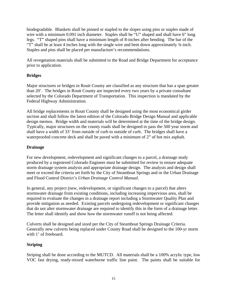biodegradable. Blankets shall be pinned or stapled to the slopes using pins or staples made of wire with a minimum 0.091 inch diameter. Staples shall be "U" shaped and shall have 6" long legs. "T" shaped pins shall have a minimum length of 8-inches after bending. The bar of the "T" shall be at least 4 inches long with the single wire and bent down approximately ¾-inch. Staples and pins shall be placed per manufacture's recommendations.

All revegetation materials shall be submitted to the Road and Bridge Department for acceptance prior to application.

# **Bridges**

Major structures or bridges in Routt County are classified as any structure that has a span greater than 20'. The bridges in Routt County are inspected every two years by a private consultant selected by the Colorado Department of Transportation. This inspection is mandated by the Federal Highway Administration.

All bridge replacements in Routt County shall be designed using the most economical girder section and shall follow the latest edition of the Colorado Bridge Design Manual and applicable design memos. Bridge width and materials will be determined at the time of the bridge design. Typically, major structures on the county roads shall be designed to pass the 500 year storm and shall have a width of 33' from outside of curb to outside of curb. The bridges shall have a waterproofed concrete deck and shall be paved with a minimum of 2" of hot mix asphalt.

# **Drainage**

For new development, redevelopment and significant changes to a parcel, a drainage study produced by a registered Colorado Engineer must be submitted for review to ensure adequate storm drainage system analysis and appropriate drainage design. The analysis and design shall meet or exceed the criteria set forth by the City of Steamboat Springs and or the Urban Drainage and Flood Control District's *Urban Drainage Control Manual.* 

In general, any project (new, redevelopment, or significant changes to a parcel) that alters stormwater drainage from existing conditions, including increasing impervious area, shall be required to evaluate the changes in a drainage report including a Stormwater Quality Plan and provide mitigation as needed. Existing parcels undergoing redevelopment or significant changes that do not alter stormwater drainage are required to identify this in the form of a drainage letter. The letter shall identify and show how the stormwater runoff is not being affected.

Culverts shall be designed and sized per the City of Steamboat Springs Drainage Criteria. Generally new culverts being replaced under County Road shall be designed to the 100-yr storm with 1' of freeboard.

# **Striping**

Striping shall be done according to the MUTCD. All materials shall be a 100% acrylic type, low VOC fast drying, ready-mixed waterborne traffic line paint. The paints shall be suitable for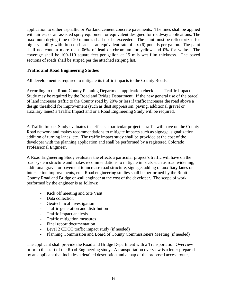application to either asphaltic or Portland cement concrete pavements. The lines shall be applied with airless or air assisted spray equipment or equivalent designed for roadway applications. The maximum drying time of 20 minutes shall not be exceeded. The paint must be reflectorized for night visibility with drop-on-beads at an equivalent rate of six (6) pounds per gallon. The paint shall not contain more than .06% of lead or chromium for yellow and 0% for white. The coverage shall be 100-110 square feet per gallon at 15 mils wet film thickness. The paved sections of roads shall be striped per the attached striping list.

# **Traffic and Road Engineering Studies**

All development is required to mitigate its traffic impacts to the County Roads.

According to the Routt County Planning Department application checklists a Traffic Impact Study may be required by the Road and Bridge Department. If the new general use of the parcel of land increases traffic to the County road by 20% or less if traffic increases the road above a design threshold for improvement (such as dust suppression, paving, additional gravel or auxiliary lanes) a Traffic Impact and or a Road Engineering Study will be required.

A Traffic Impact Study evaluates the effects a particular project's traffic will have on the County Road network and makes recommendations to mitigate impacts such as signage, signalization, addition of turning lanes, etc. The traffic impact study shall be provided at the cost of the developer with the planning application and shall be performed by a registered Colorado Professional Engineer.

A Road Engineering Study evaluates the effects a particular project's traffic will have on the road system structure and makes recommendations to mitigate impacts such as road widening, additional gravel or pavement to increase road structure, signage, adding of auxiliary lanes or intersection improvements, etc. Road engineering studies shall be performed by the Routt County Road and Bridge on-call engineer at the cost of the developer. The scope of work performed by the engineer is as follows:

- Kick off meeting and Site Visit
- Data collection
- Geotechnical investigation
- Traffic generation and distribution
- Traffic impact analysis
- Traffic mitigation measures
- Final report documentation
- Level 2 CDOT traffic impact study (if needed)
- Planning Commission and Board of County Commissioners Meeting (if needed)

The applicant shall provide the Road and Bridge Department with a Transportation Overview prior to the start of the Road Engineering study. A transportation overview is a letter prepared by an applicant that includes a detailed description and a map of the proposed access route,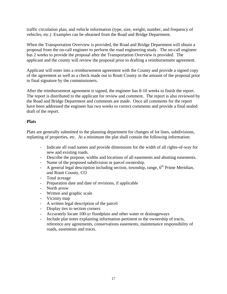traffic circulation plan, and vehicle information (type, size, weight, number, and frequency of vehicles, etc.) Examples can be obtained from the Road and Bridge Department.

When the Transportation Overview is provided, the Road and Bridge Department will obtain a proposal from the on-call engineer to perform the road engineering study. The on-call engineer has 2 weeks to provide the proposal after the Transportation Overview is provided. The applicant and the county will review the proposal prior to drafting a reimbursement agreement.

Applicant will enter into a reimbursement agreement with the County and provide a signed copy of the agreement as well as a check made out to Routt County in the amount of the proposal prior to final signature by the commissioners.

After the reimbursement agreement is signed, the engineer has 8-10 weeks to finish the report. The report is distributed to the applicant for review and comment. The report is also reviewed by the Road and Bridge Department and comments are made. Once all comments for the report have been addressed the engineer has two weeks to correct comments and provide a final sealed draft of the report.

# **Plats**

Plats are generally submitted to the planning department for changes of lot lines, subdivisions, replatting of properties, etc. At a minimum the plat shall contain the following information:

- Indicate all road names and provide dimensions for the width of all rights-of-way for new and existing roads.
- Describe the purpose, widths and locations of all easements and abutting easements.
- Name of the proposed subdivision or parcel ownership.
- A general legal description including section, township, range,  $6<sup>th</sup>$  Prime Meridian, and Routt County, CO
- Total acreage
- Preparation date and date of revisions, if applicable
- North arrow
- Written and graphic scale
- Vicinity map
- A written legal description of the parcel
- Display ties to section corners
- Accurately locate 100-yr floodplain and other water or drainageways
- Include plat notes explaining information pertinent to the ownership of tracts, reference any agreements, conservations easements, maintenance responsibility of roads, easements and tracts.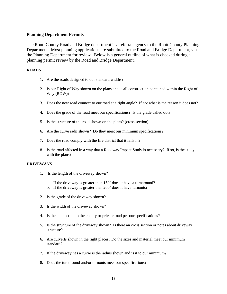#### **Planning Department Permits**

The Routt County Road and Bridge department is a referral agency to the Routt County Planning Department. Most planning applications are submitted to the Road and Bridge Department, via the Planning Department for review. Below is a general outline of what is checked during a planning permit review by the Road and Bridge Department.

#### **ROADS**

- 1. Are the roads designed to our standard widths?
- 2. Is our Right of Way shown on the plans and is all construction contained within the Right of Way (ROW)?
- 3. Does the new road connect to our road at a right angle? If not what is the reason it does not?
- 4. Does the grade of the road meet our specifications? Is the grade called out?
- 5. Is the structure of the road shown on the plans? (cross section)
- 6. Are the curve radii shown? Do they meet our minimum specifications?
- 7. Does the road comply with the fire district that it falls in?
- 8. Is the road affected in a way that a Roadway Impact Study is necessary? If so, is the study with the plans?

#### **DRIVEWAYS**

- 1. Is the length of the driveway shown?
	- a. If the driveway is greater than 150' does it have a turnaround?
	- b. If the driveway is greater than 200' does it have turnouts?
- 2. Is the grade of the driveway shown?
- 3. Is the width of the driveway shown?
- 4. Is the connection to the county or private road per our specifications?
- 5. Is the structure of the driveway shown? Is there an cross section or notes about driveway structure?
- 6. Are culverts shown in the right places? Do the sizes and material meet our minimum standard?
- 7. If the driveway has a curve is the radius shown and is it to our minimum?
- 8. Does the turnaround and/or turnouts meet our specifications?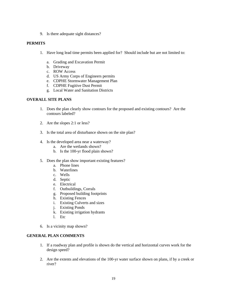9. Is there adequate sight distances?

#### **PERMITS**

- 1. Have long lead time permits been applied for? Should include but are not limited to:
	- a. Grading and Excavation Permit
	- b. Driveway
	- c. ROW Access
	- d. US Army Corps of Engineers permits
	- e. CDPHE Stormwater Management Plan
	- f. CDPHE Fugitive Dust Permit
	- g. Local Water and Sanitation Districts

#### **OVERALL SITE PLANS**

- 1. Does the plan clearly show contours for the proposed and existing contours? Are the contours labeled?
- 2. Are the slopes 2:1 or less?
- 3. Is the total area of disturbance shown on the site plan?
- 4. Is the developed area near a waterway?
	- a. Are the wetlands shown?
	- b. Is the 100-yr flood plain shown?
- 5. Does the plan show important existing features?
	- a. Phone lines
	- b. Waterlines
	- c. Wells
	- d. Septic
	- e. Electrical
	- f. Outbuildings, Corrals
	- g. Proposed building footprints
	- h. Existing Fences
	- i. Existing Culverts and sizes
	- j. Existing Ponds
	- k. Existing irrigation hydrants
	- l. Etc
- 6. Is a vicinity map shown?

#### **GENERAL PLAN COMMENTS**

- 1. If a roadway plan and profile is shown do the vertical and horizontal curves work for the design speed?
- 2. Are the extents and elevations of the 100-yr water surface shown on plans, if by a creek or river?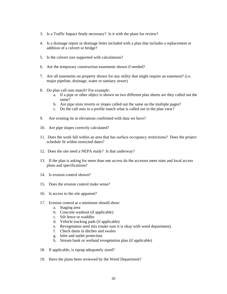- 3. Is a Traffic Impact Study necessary? Is it with the plans for review?
- 4. Is a drainage report or drainage letter included with a plan that includes a replacement or addition of a culvert or bridge?
- 5. Is the culvert size supported with calculations?
- 6. Are the temporary construction easements shown if needed?
- 7. Are all easements on property shown for any utility that might require an easement? (i.e. major pipeline, drainage, water or sanitary sewer)
- 8. Do plan call outs match? For example:
	- a. If a pipe or other object is shown on two different plan sheets are they called out the same?
	- b. Are pipe sizes inverts or slopes called out the same on the multiple pages?
	- c. Do the call outs in a profile match what is called out in the plan view?
- 9. Are existing tie in elevations confirmed with data we have?
- 10. Are pipe slopes correctly calculated?
- 11. Does the work fall within an area that has surface occupancy restrictions? Does the project schedule fit within restricted dates?
- 12. Does the site need a NEPA study? Is that underway?
- 13. If the plan is asking for more than one access do the accesses meet state and local access plans and specifications?
- 14. Is erosion control shown?
- 15. Does the erosion control make sense?
- 16. Is access to the site apparent?
- 17. Erosion control at a minimum should show:
	- a. Staging area
	- b. Concrete washout (if applicable)
	- c. Silt fence or waddles
	- d. Vehicle tracking pads (if applicable)
	- e. Revegetation seed mix (make sure it is okay with weed department).
	- f. Check dams in ditches and swales
	- g. Inlet and outlet protection
	- h. Stream bank or wetland revegetation plan (if applicable)
- 18. If applicable, is riprap adequately sized?
- 19. Have the plans been reviewed by the Weed Department?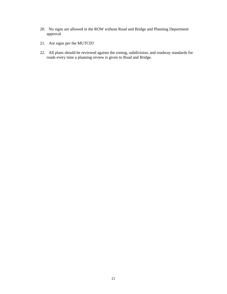- 20. No signs are allowed in the ROW without Road and Bridge and Planning Department approval
- 21. Are signs per the MUTCD?
- 22. All plans should be reviewed against the zoning, subdivision, and roadway standards for roads every time a planning review is given to Road and Bridge.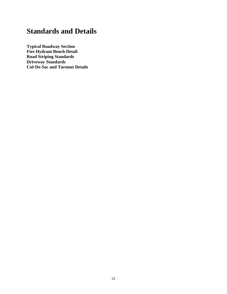# **Standards and Details**

**Typical Roadway Section Fire Hydrant Bench Detail Road Striping Standards Driveway Standards Cul-De-Sac and Turnout Details**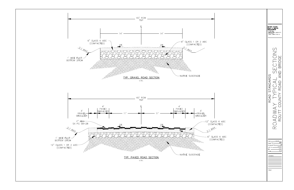

| OUTT COUNTY:                                                                              |
|-------------------------------------------------------------------------------------------|
| :0AD & BRIDGE                                                                             |
| <b>EPARTMENT</b>                                                                          |
| 1.36 Sth Street<br>P.O. BOX 773598<br>STEAMBOAT SPRINGS, COLORADO 80477<br>(970) 879-0831 |
| CONTACT: MICHAEL T. MORDI. P.E.                                                           |
|                                                                                           |
|                                                                                           |

 $\circlearrowright$ 

# **NON** BRIDGE  $\bigcirc$  $\boxed{\underline{\qquad \qquad }}$  $\begin{array}{c}\n\overline{C} \\
\overline{C} \\
\overline{C} \\
\overline{C}\n\end{array}$ ROAD STANDARDS  $\Box$  $P|CA|$  $\overline{\Omega}$ YT TYF<br>County  $\triangleleft$ ADW/  $\bigcirc$  $\Omega$  $1.12.15$ )ate\_ **MTM** Drawn By. **Reviewed By**  $N/A$ Revisions Sheet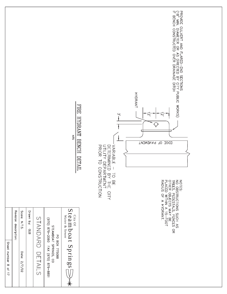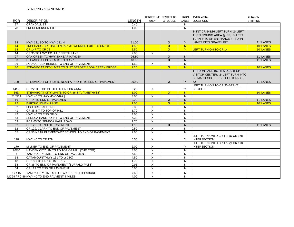|                 |                                                          |               |                         | CENTERLINE CENTERLINE   |                         | TURN TURN LANE                                                                                              | SPECIAL         |
|-----------------|----------------------------------------------------------|---------------|-------------------------|-------------------------|-------------------------|-------------------------------------------------------------------------------------------------------------|-----------------|
| <b>RCR</b>      | <b>DESCRIPTION</b>                                       | <b>LENGTH</b> | <b>ONLY</b>             | & FOGLINE               |                         | LANES LOCATIONS                                                                                             | <b>STRIPING</b> |
| 37              | <b>CRANDALL ST</b>                                       | 0.40          |                         |                         | N                       |                                                                                                             |                 |
| $\overline{78}$ | <b>FREDERICKSON HILL</b>                                 | 1.00          |                         |                         | N                       |                                                                                                             |                 |
|                 |                                                          |               |                         |                         |                         | 1- INT CR 14&16 LEFT TURN, 2- LEFT<br>TURN FISHING AREA @ SP, 3- LEFT                                       |                 |
|                 |                                                          |               |                         |                         |                         | <b>TURN INTO SP ENTRANCE 4 - TURN</b>                                                                       |                 |
| 14              | HWY 131 SO TO HWY 131 N                                  | 11.00         |                         | $\mathbf{x}$            | Y                       | <b>ILANES INTO GRAVEL PIT</b>                                                                               | 11' LANES       |
| 14              | <b>TREEHAUS, BIKE PATH NEAR MT WERNER EXIT TO CR 14F</b> | 4.50          |                         | $\mathbf{x}$            | N                       |                                                                                                             | 10' LANES       |
| 14              | CR 14F TO CR 22                                          | 2.50          |                         | $\overline{\mathbf{x}}$ | $Y -$                   | <b>LEFT TURN ON TO CR 14</b>                                                                                | 10' LANES       |
| 14              | CR 35 TO HWY 131, HUDSPETH LANE                          | 2.00<br>26.80 | $\mathsf{X}$            |                         |                         |                                                                                                             | 11' LANES       |
| 27              | OAK CREEK TO HWY 40 NEAR HAYDEN                          |               |                         | $\overline{\mathbf{x}}$ | N                       |                                                                                                             | 11' LANES       |
| 33              | STEAMBOAT CITY LMTS TO CR 27                             | 18.60         |                         | $\mathsf{x}$            | N.                      |                                                                                                             |                 |
| 36              | SODA CREEK BRIDGE TO END OF PAVEMENT                     | 1.50          | X                       |                         | $\mathsf{N}$            |                                                                                                             |                 |
| 36              | STEAMBOAT CITY LMTS TO JUST BEFORE SODA CREEK BRDGE      | 2.25          |                         | $\overline{\mathbf{x}}$ | N                       |                                                                                                             | 10' LANES       |
| 129             | STEAMBOAT CITY LMTS NEAR AIRPORT TO END OF PAVEMENT      | 29.50         |                         | $\mathbf{x}$            | Y                       | 1 - TURN LANE BOTH SIDES @ SP<br>VISITOR CENTER, 2- LEFT TURN INTO<br>SP MAINT SHOP, 3 - LEFT TURN CR<br>62 | 11' LANES       |
|                 |                                                          |               |                         |                         |                         | LEFT TURN ON TO CR 35 GRAVEL                                                                                |                 |
| 14/35           | CR 22 TO TOP OF HILL TO INT CR 41&43                     | 3.25          | $\mathsf{X}$            |                         | Y                       | <b>SECTION</b>                                                                                              |                 |
| 36D             | STEAMBOAT CITY LIMITS TO CR 36 INT. (AMETHYST)           | 1.00          |                         | $\mathbf{x}$            | N <sub>1</sub>          |                                                                                                             | 10' LANES       |
| 51/51A          | HWY 40 TO HWY 40 (YVRA)                                  | 3.00          | $\times$                |                         | N                       |                                                                                                             |                 |
| 16              | CR 14 TO END OF PAVEMENT                                 | 2.20          |                         | $\overline{\mathbf{X}}$ | $\mathsf{N}$            |                                                                                                             | 11' LANES       |
| 22              | <b>BARTHOLOMEW LANE</b>                                  | 1.00          |                         | $\mathbf{x}$            | N                       |                                                                                                             | 10' LANES       |
| 32              | <b>FISH CRK FALLS RD</b>                                 | 2.30          | $\times$                |                         | N                       |                                                                                                             |                 |
| 41              | CR 35 INT TO TOP OF HILL                                 | 1.70          | $\pmb{\times}$          |                         | N                       |                                                                                                             |                 |
| 42              | HWY 40 TO END OF OIL                                     | 4.00          | X                       |                         | N                       |                                                                                                             |                 |
| 53              | SENECA HAUL RD INT TO END OF PAVEMENT                    | 6.30          | $\overline{\mathsf{x}}$ |                         | $\overline{\mathsf{N}}$ |                                                                                                             |                 |
| 53              | <b>RCR 65 TO SENECA HAUL ROAD</b>                        | 1.70          | $\overline{X}$          |                         | N                       |                                                                                                             |                 |
| 62              | CR 129 TO END OF PAVEMENT                                | 1.10          |                         | $\mathsf{x}$            | N.                      |                                                                                                             | 11' LANES       |
| 62              | CR 129. CLARK TO END OF PAVEMENT                         | 0.50          | X                       |                         | $\overline{N}$          |                                                                                                             |                 |
| 65              | CR 53 NEAR ELEMENTARY SCHOOL TO END OF PAVEMENT          | 2.00          | $\overline{X}$          |                         | N                       |                                                                                                             |                 |
|                 |                                                          |               |                         |                         |                         | LEFT TURN ONTO CR 179 @ CR 178                                                                              |                 |
| 178             | HWY 40 TO CR 179                                         | 0.50          | $\times$                |                         | Y                       | <b>INTERSECTION</b>                                                                                         |                 |
|                 |                                                          |               |                         |                         |                         | LEFT TURN ONTO CR 179 @ CR 178                                                                              |                 |
| 179             | MILNER TO END OF PAVEMENT                                | 2.00          | X                       |                         | Y                       | <b>INTERSECTION</b>                                                                                         |                 |
| 76/80           | HAYDEN CITY LIMITS TO TOP OF HILL (THE COG)              | 3.00          | $\times$                |                         | N                       |                                                                                                             |                 |
| $\overline{7}$  | YAMPA CITY LMTS TO END OF PAVEMENT                       | 6.50          | X                       |                         | N                       |                                                                                                             |                 |
| 18              | CATAMOUNT(HWY 131 TO cr 18C)                             | 4.50          | $\times$                |                         | N                       |                                                                                                             |                 |
| 18              | CR 18C TO CR 14B INT - 1.7                               | 1.70          | X                       |                         | N                       |                                                                                                             |                 |
| 38              | CR 36 TO END OF PAVEMENT (BUFFALO PASS)                  | 0.95          | X                       |                         | N                       |                                                                                                             |                 |
| 64              | CR 129 TO END OF PAVEMENT                                | 6.00          | $\overline{\mathsf{x}}$ |                         | N                       |                                                                                                             |                 |
|                 |                                                          |               |                         |                         |                         |                                                                                                             |                 |
| 17/15           | YAMPA CITY LIMITS TO HWY 131 IN PHIPPSBURG               | 7.60          | X                       |                         | N                       |                                                                                                             |                 |
|                 | MC29 / RC 86 HWY 40 TO END PAVMENT 4 MILES               | 4.00          | $\mathsf{X}$            |                         | N                       |                                                                                                             |                 |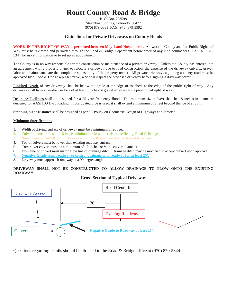# **Routt County Road & Bridge**

P. O. Box 773598 Steamboat Springs, Colorado 80477 (970) 879-0831 FAX (970) 879-3992

#### **Guidelines for Private Driveways on County Roads**

**WORK IN THE RIGHT OF WAY is permitted between May 1 and November 1.** All work in County and / or Public Rights of Way must be reviewed and permitted through the Road & Bridge Department before work of any kind commences. Call 970-870- 5344 for more information or to set up an appointment.

The County is in no way responsible for the construction or maintenance of a private driveway. Unless the County has entered into an agreement with a property owner to relocate a driveway due to road construction, the expense of the driveway culverts, gravel, labor and maintenance are the complete responsibility of the property owner. All private driveways adjoining a county road must be approved by a Road & Bridge representative, who will inspect the proposed driveway before signing a driveway permit.

**Finished Grade** of any driveway shall be below the grade at the edge of roadbed, at the edge of the public right of way. Any driveway shall have a finished surface of at least 6 inches of gravel when within a public road right of way.

**Drainage Facilities** shall be designed for a 25 year frequency flood. The minimum size culvert shall be 18 inches in diameter, designed for AASHTO H-20 loading. If corrugated pipe is used, it shall extend a minimum of 2 feet beyond the toe of any fill.

**Stopping Sight Distance** shall be designed as per "A Policy on Geometric Design of Highways and Streets".

#### **Minimum Specifications**

- 1. Width of driving surface of driveway must be a minimum of 20 feet.
- 2. Culvert diameter must be 18 inches minimum unless otherwise specified by Road & Bridge.
- **3. Routt County road Right Of Way easement is 30 feet from Centerline of Roadway.**
- 4. Top of culvert must be lower than existing roadway surface.
- 5. Cover over culvert must be a minimum of 12 inches or  $\frac{1}{2}$  the culvert diameter.
- 6. Flow line of culvert must match flow line of drainage ditch. Drainage ditch may be modified to accept culvert upon approval.
- **7. Negative Grade from roadway to control drainage onto roadway for at least 25'.**
- 8. Driveway must approach roadway at a 90 degree angle.

#### **DRIVEWAY SHALL NOT BE CONSTRUCTED TO ALLOW DRAINAGE TO FLOW ONTO THE EXISTING ROADWAY.**

#### **Cross Section of Typical Driveway**



Questions regarding details should be directed to the Road & Bridge office at (970) 870-5344.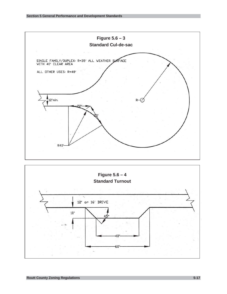